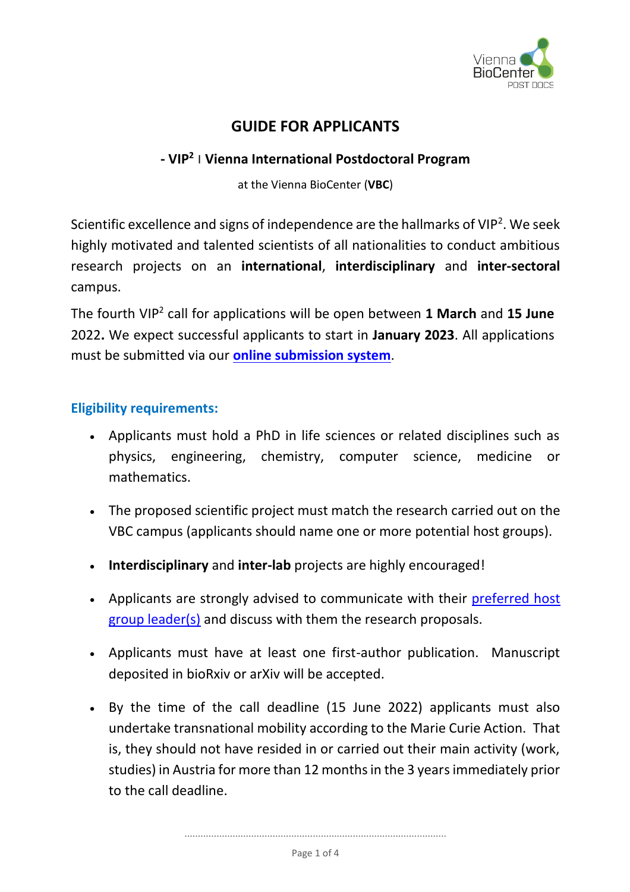

# **GUIDE FOR APPLICANTS**

## **- VIP<sup>2</sup> <sup>|</sup> Vienna International Postdoctoral Program**

at the Vienna BioCenter (**VBC**)

Scientific excellence and signs of independence are the hallmarks of VIP<sup>2</sup>. We seek highly motivated and talented scientists of all nationalities to conduct ambitious research projects on an **international**, **interdisciplinary** and **inter-sectoral** campus.

The fourth VIP<sup>2</sup> call for applications will be open between **1 March** and **15 June** 2022**.** We expect successful applicants to start in **January 2023**. All applications must be submitted via our **[online submission system](https://selapp.imp.ac.at/?selection=Selection2022)**.

#### **Eligibility requirements:**

- Applicants must hold a PhD in life sciences or related disciplines such as physics, engineering, chemistry, computer science, medicine or mathematics.
- The proposed scientific project must match the research carried out on the VBC campus (applicants should name one or more potential host groups).
- **Interdisciplinary** and **inter-lab** projects are highly encouraged!
- Applicants are strongly advised to communicate with their preferred host [group leader\(s\)](https://training.vbc.ac.at/post-docs/vip2-post-doc-program/participating-labs/) and discuss with them the research proposals.
- Applicants must have at least one first-author publication. Manuscript deposited in bioRxiv or arXiv will be accepted.
- By the time of the call deadline (15 June 2022) applicants must also undertake transnational mobility according to the Marie Curie Action. That is, they should not have resided in or carried out their main activity (work, studies) in Austria for more than 12 months in the 3 years immediately prior to the call deadline.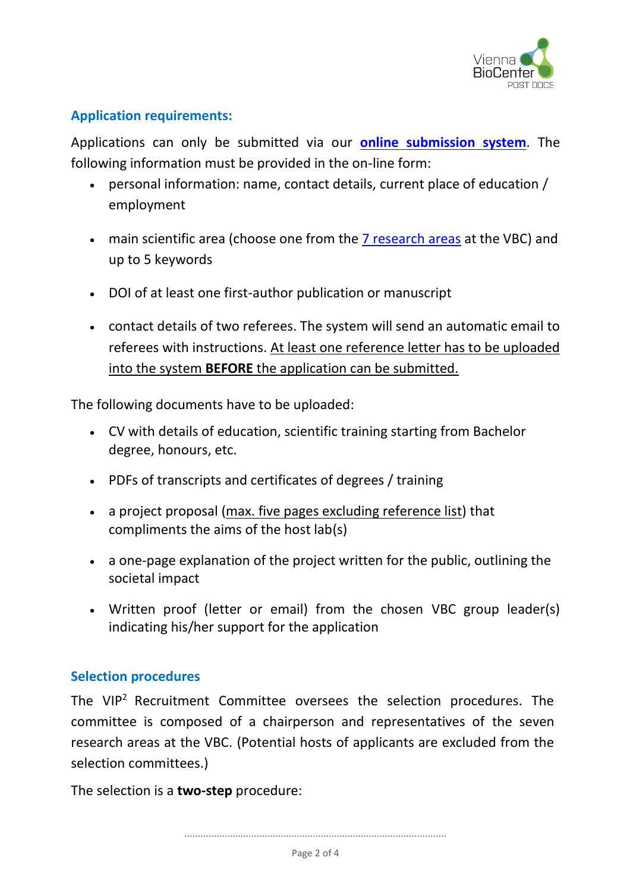

#### **Application requirements:**

Applications can only be submitted via our **[online submission system](https://selapp.imp.ac.at/?selection=Selection2022)**. The following information must be provided in the on-line form:

- personal information: name, contact details, current place of education / employment
- main scientific area (choose one from the [7 research areas](https://www.viennabiocenter.org/research/research-areas/) at the VBC) and up to 5 keywords
- DOI of at least one first-author publication or manuscript
- contact details of two referees. The system will send an automatic email to referees with instructions. At least one reference letter has to be uploaded into the system **BEFORE** the application can be submitted.

The following documents have to be uploaded:

- CV with details of education, scientific training starting from Bachelor degree, honours, etc.
- PDFs of transcripts and certificates of degrees / training
- a project proposal (max. five pages excluding reference list) that compliments the aims of the host lab(s)
- a one-page explanation of the project written for the public, outlining the societal impact
- Written proof (letter or email) from the chosen VBC group leader(s) indicating his/her support for the application

#### **Selection procedures**

The  $VIP<sup>2</sup>$  Recruitment Committee oversees the selection procedures. The committee is composed of a chairperson and representatives of the seven research areas at the VBC. (Potential hosts of applicants are excluded from the selection committees.)

The selection is a **two-step** procedure: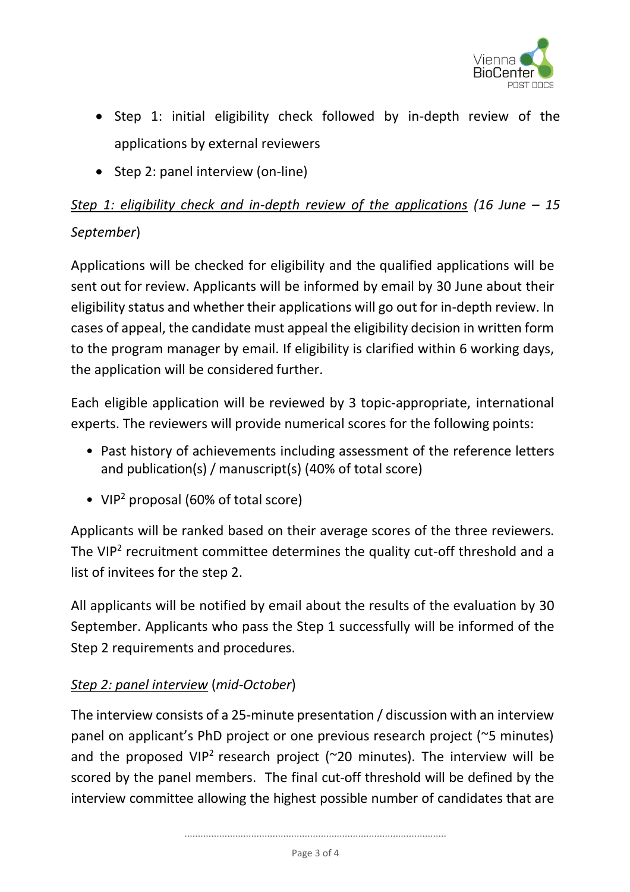

- Step 1: initial eligibility check followed by in-depth review of the applications by external reviewers
- Step 2: panel interview (on-line)

# *Step 1: eligibility check and in-depth review of the applications (16 June – 15 September*)

Applications will be checked for eligibility and the qualified applications will be sent out for review. Applicants will be informed by email by 30 June about their eligibility status and whether their applications will go out for in-depth review. In cases of appeal, the candidate must appeal the eligibility decision in written form to the program manager by email. If eligibility is clarified within 6 working days, the application will be considered further.

Each eligible application will be reviewed by 3 topic-appropriate, international experts. The reviewers will provide numerical scores for the following points:

- Past history of achievements including assessment of the reference letters and publication(s) / manuscript(s) (40% of total score)
- VIP<sup>2</sup> proposal (60% of total score)

Applicants will be ranked based on their average scores of the three reviewers. The VIP<sup>2</sup> recruitment committee determines the quality cut-off threshold and a list of invitees for the step 2.

All applicants will be notified by email about the results of the evaluation by 30 September. Applicants who pass the Step 1 successfully will be informed of the Step 2 requirements and procedures.

## *Step 2: panel interview* (*mid-October*)

The interview consists of a 25-minute presentation / discussion with an interview panel on applicant's PhD project or one previous research project (~5 minutes) and the proposed VIP<sup>2</sup> research project ( $\sim$ 20 minutes). The interview will be scored by the panel members. The final cut-off threshold will be defined by the interview committee allowing the highest possible number of candidates that are